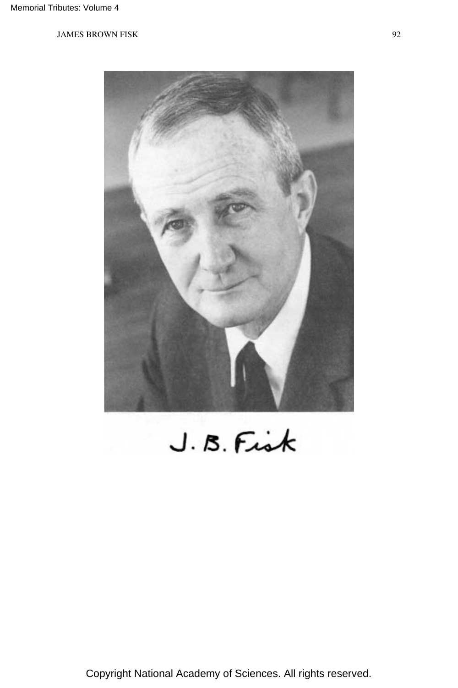

 $J.B.F.$ 

Copyright National Academy of Sciences. All rights reserved.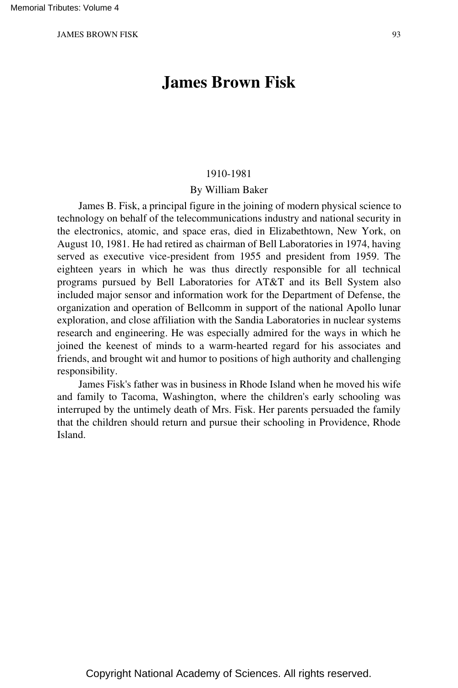# **James Brown Fisk**

#### 1910-1981

#### By William Baker

James B. Fisk, a principal figure in the joining of modern physical science to technology on behalf of the telecommunications industry and national security in the electronics, atomic, and space eras, died in Elizabethtown, New York, on August 10, 1981. He had retired as chairman of Bell Laboratories in 1974, having served as executive vice-president from 1955 and president from 1959. The eighteen years in which he was thus directly responsible for all technical programs pursued by Bell Laboratories for AT&T and its Bell System also included major sensor and information work for the Department of Defense, the organization and operation of Bellcomm in support of the national Apollo lunar exploration, and close affiliation with the Sandia Laboratories in nuclear systems research and engineering. He was especially admired for the ways in which he joined the keenest of minds to a warm-hearted regard for his associates and friends, and brought wit and humor to positions of high authority and challenging responsibility.

James Fisk's father was in business in Rhode Island when he moved his wife and family to Tacoma, Washington, where the children's early schooling was interruped by the untimely death of Mrs. Fisk. Her parents persuaded the family that the children should return and pursue their schooling in Providence, Rhode Island.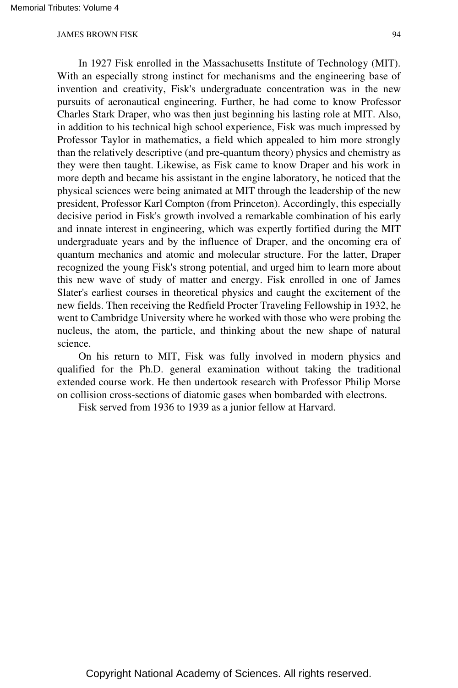In 1927 Fisk enrolled in the Massachusetts Institute of Technology (MIT). With an especially strong instinct for mechanisms and the engineering base of invention and creativity, Fisk's undergraduate concentration was in the new pursuits of aeronautical engineering. Further, he had come to know Professor Charles Stark Draper, who was then just beginning his lasting role at MIT. Also, in addition to his technical high school experience, Fisk was much impressed by Professor Taylor in mathematics, a field which appealed to him more strongly than the relatively descriptive (and pre-quantum theory) physics and chemistry as they were then taught. Likewise, as Fisk came to know Draper and his work in more depth and became his assistant in the engine laboratory, he noticed that the physical sciences were being animated at MIT through the leadership of the new president, Professor Karl Compton (from Princeton). Accordingly, this especially decisive period in Fisk's growth involved a remarkable combination of his early and innate interest in engineering, which was expertly fortified during the MIT undergraduate years and by the influence of Draper, and the oncoming era of quantum mechanics and atomic and molecular structure. For the latter, Draper recognized the young Fisk's strong potential, and urged him to learn more about this new wave of study of matter and energy. Fisk enrolled in one of James Slater's earliest courses in theoretical physics and caught the excitement of the new fields. Then receiving the Redfield Procter Traveling Fellowship in 1932, he went to Cambridge University where he worked with those who were probing the nucleus, the atom, the particle, and thinking about the new shape of natural science.

On his return to MIT, Fisk was fully involved in modern physics and qualified for the Ph.D. general examination without taking the traditional extended course work. He then undertook research with Professor Philip Morse on collision cross-sections of diatomic gases when bombarded with electrons.

Fisk served from 1936 to 1939 as a junior fellow at Harvard.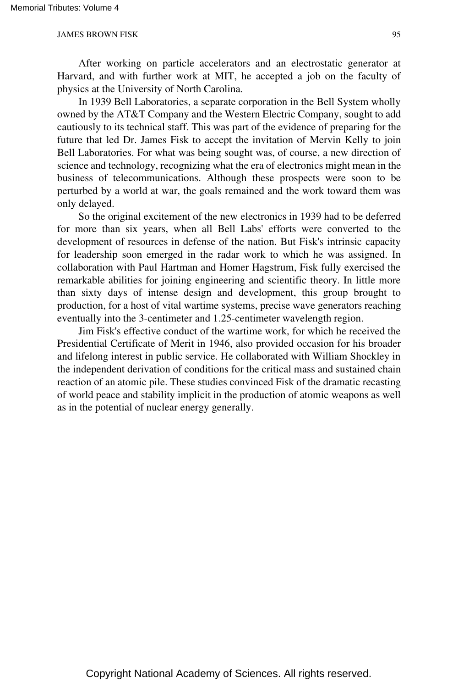After working on particle accelerators and an electrostatic generator at Harvard, and with further work at MIT, he accepted a job on the faculty of physics at the University of North Carolina.

In 1939 Bell Laboratories, a separate corporation in the Bell System wholly owned by the AT&T Company and the Western Electric Company, sought to add cautiously to its technical staff. This was part of the evidence of preparing for the future that led Dr. James Fisk to accept the invitation of Mervin Kelly to join Bell Laboratories. For what was being sought was, of course, a new direction of science and technology, recognizing what the era of electronics might mean in the business of telecommunications. Although these prospects were soon to be perturbed by a world at war, the goals remained and the work toward them was only delayed.

So the original excitement of the new electronics in 1939 had to be deferred for more than six years, when all Bell Labs' efforts were converted to the development of resources in defense of the nation. But Fisk's intrinsic capacity for leadership soon emerged in the radar work to which he was assigned. In collaboration with Paul Hartman and Homer Hagstrum, Fisk fully exercised the remarkable abilities for joining engineering and scientific theory. In little more than sixty days of intense design and development, this group brought to production, for a host of vital wartime systems, precise wave generators reaching eventually into the 3-centimeter and 1.25-centimeter wavelength region.

Jim Fisk's effective conduct of the wartime work, for which he received the Presidential Certificate of Merit in 1946, also provided occasion for his broader and lifelong interest in public service. He collaborated with William Shockley in the independent derivation of conditions for the critical mass and sustained chain reaction of an atomic pile. These studies convinced Fisk of the dramatic recasting of world peace and stability implicit in the production of atomic weapons as well as in the potential of nuclear energy generally.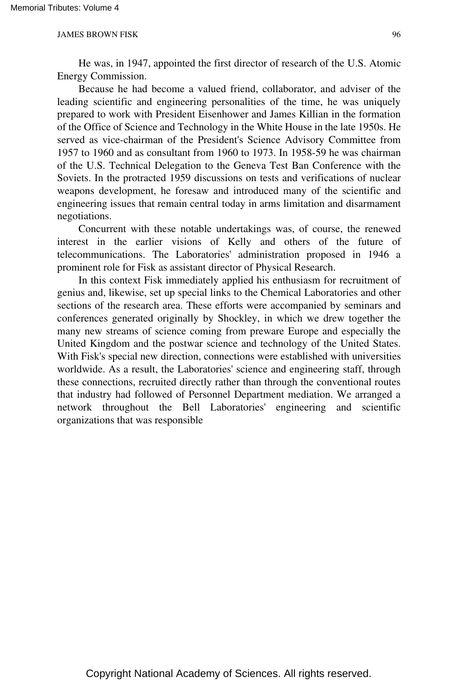He was, in 1947, appointed the first director of research of the U.S. Atomic Energy Commission.

Because he had become a valued friend, collaborator, and adviser of the leading scientific and engineering personalities of the time, he was uniquely prepared to work with President Eisenhower and James Killian in the formation of the Office of Science and Technology in the White House in the late 1950s. He served as vice-chairman of the President's Science Advisory Committee from 1957 to 1960 and as consultant from 1960 to 1973. In 1958-59 he was chairman of the U.S. Technical Delegation to the Geneva Test Ban Conference with the Soviets. In the protracted 1959 discussions on tests and verifications of nuclear weapons development, he foresaw and introduced many of the scientific and engineering issues that remain central today in arms limitation and disarmament negotiations.

Concurrent with these notable undertakings was, of course, the renewed interest in the earlier visions of Kelly and others of the future of telecommunications. The Laboratories' administration proposed in 1946 a prominent role for Fisk as assistant director of Physical Research.

In this context Fisk immediately applied his enthusiasm for recruitment of genius and, likewise, set up special links to the Chemical Laboratories and other sections of the research area. These efforts were accompanied by seminars and conferences generated originally by Shockley, in which we drew together the many new streams of science coming from preware Europe and especially the United Kingdom and the postwar science and technology of the United States. With Fisk's special new direction, connections were established with universities worldwide. As a result, the Laboratories' science and engineering staff, through these connections, recruited directly rather than through the conventional routes that industry had followed of Personnel Department mediation. We arranged a network throughout the Bell Laboratories' engineering and scientific organizations that was responsible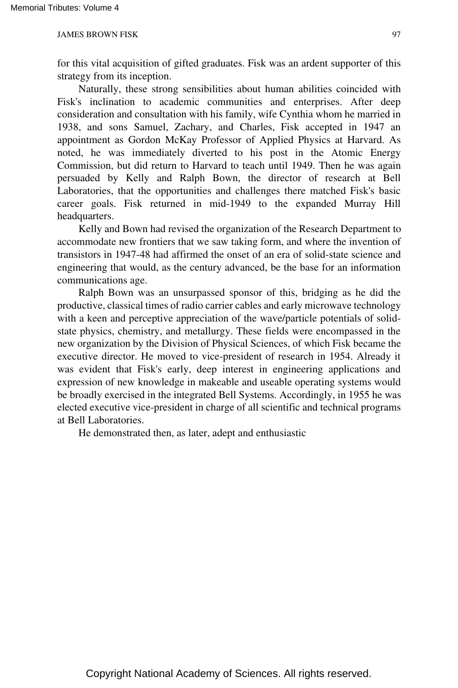for this vital acquisition of gifted graduates. Fisk was an ardent supporter of this strategy from its inception.

Naturally, these strong sensibilities about human abilities coincided with Fisk's inclination to academic communities and enterprises. After deep consideration and consultation with his family, wife Cynthia whom he married in 1938, and sons Samuel, Zachary, and Charles, Fisk accepted in 1947 an appointment as Gordon McKay Professor of Applied Physics at Harvard. As noted, he was immediately diverted to his post in the Atomic Energy Commission, but did return to Harvard to teach until 1949. Then he was again persuaded by Kelly and Ralph Bown, the director of research at Bell Laboratories, that the opportunities and challenges there matched Fisk's basic career goals. Fisk returned in mid-1949 to the expanded Murray Hill headquarters.

Kelly and Bown had revised the organization of the Research Department to accommodate new frontiers that we saw taking form, and where the invention of transistors in 1947-48 had affirmed the onset of an era of solid-state science and engineering that would, as the century advanced, be the base for an information communications age.

Ralph Bown was an unsurpassed sponsor of this, bridging as he did the productive, classical times of radio carrier cables and early microwave technology with a keen and perceptive appreciation of the wave/particle potentials of solidstate physics, chemistry, and metallurgy. These fields were encompassed in the new organization by the Division of Physical Sciences, of which Fisk became the executive director. He moved to vice-president of research in 1954. Already it was evident that Fisk's early, deep interest in engineering applications and expression of new knowledge in makeable and useable operating systems would be broadly exercised in the integrated Bell Systems. Accordingly, in 1955 he was elected executive vice-president in charge of all scientific and technical programs at Bell Laboratories.

He demonstrated then, as later, adept and enthusiastic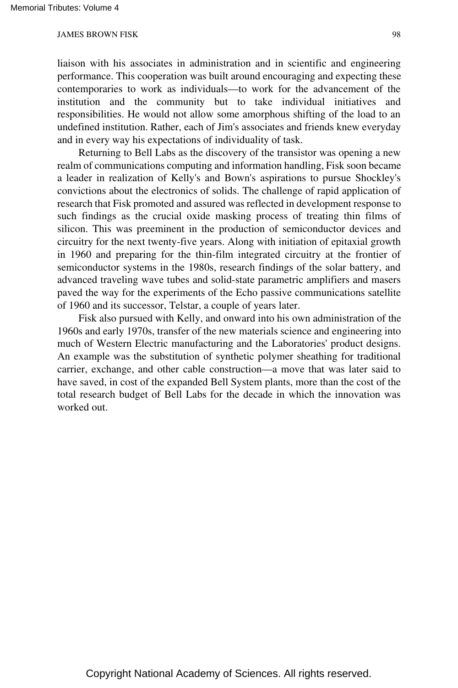liaison with his associates in administration and in scientific and engineering performance. This cooperation was built around encouraging and expecting these contemporaries to work as individuals—to work for the advancement of the institution and the community but to take individual initiatives and responsibilities. He would not allow some amorphous shifting of the load to an undefined institution. Rather, each of Jim's associates and friends knew everyday and in every way his expectations of individuality of task.

Returning to Bell Labs as the discovery of the transistor was opening a new realm of communications computing and information handling, Fisk soon became a leader in realization of Kelly's and Bown's aspirations to pursue Shockley's convictions about the electronics of solids. The challenge of rapid application of research that Fisk promoted and assured was reflected in development response to such findings as the crucial oxide masking process of treating thin films of silicon. This was preeminent in the production of semiconductor devices and circuitry for the next twenty-five years. Along with initiation of epitaxial growth in 1960 and preparing for the thin-film integrated circuitry at the frontier of semiconductor systems in the 1980s, research findings of the solar battery, and advanced traveling wave tubes and solid-state parametric amplifiers and masers paved the way for the experiments of the Echo passive communications satellite of 1960 and its successor, Telstar, a couple of years later.

Fisk also pursued with Kelly, and onward into his own administration of the 1960s and early 1970s, transfer of the new materials science and engineering into much of Western Electric manufacturing and the Laboratories' product designs. An example was the substitution of synthetic polymer sheathing for traditional carrier, exchange, and other cable construction—a move that was later said to have saved, in cost of the expanded Bell System plants, more than the cost of the total research budget of Bell Labs for the decade in which the innovation was worked out.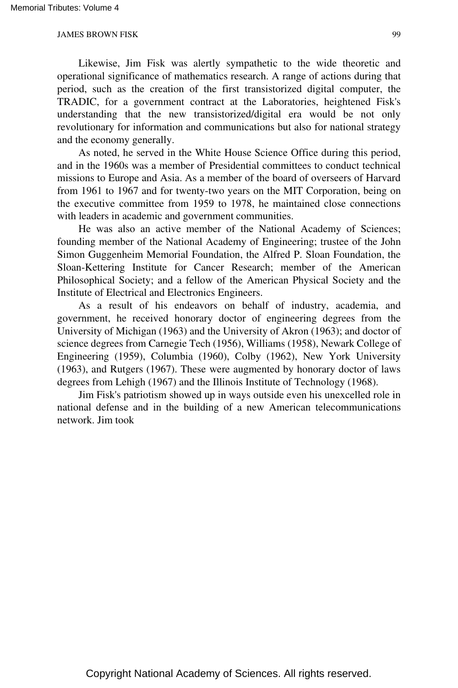Likewise, Jim Fisk was alertly sympathetic to the wide theoretic and operational significance of mathematics research. A range of actions during that period, such as the creation of the first transistorized digital computer, the TRADIC, for a government contract at the Laboratories, heightened Fisk's understanding that the new transistorized/digital era would be not only revolutionary for information and communications but also for national strategy and the economy generally.

As noted, he served in the White House Science Office during this period, and in the 1960s was a member of Presidential committees to conduct technical missions to Europe and Asia. As a member of the board of overseers of Harvard from 1961 to 1967 and for twenty-two years on the MIT Corporation, being on the executive committee from 1959 to 1978, he maintained close connections with leaders in academic and government communities.

He was also an active member of the National Academy of Sciences; founding member of the National Academy of Engineering; trustee of the John Simon Guggenheim Memorial Foundation, the Alfred P. Sloan Foundation, the Sloan-Kettering Institute for Cancer Research; member of the American Philosophical Society; and a fellow of the American Physical Society and the Institute of Electrical and Electronics Engineers.

As a result of his endeavors on behalf of industry, academia, and government, he received honorary doctor of engineering degrees from the University of Michigan (1963) and the University of Akron (1963); and doctor of science degrees from Carnegie Tech (1956), Williams (1958), Newark College of Engineering (1959), Columbia (1960), Colby (1962), New York University (1963), and Rutgers (1967). These were augmented by honorary doctor of laws degrees from Lehigh (1967) and the Illinois Institute of Technology (1968).

Jim Fisk's patriotism showed up in ways outside even his unexcelled role in national defense and in the building of a new American telecommunications network. Jim took